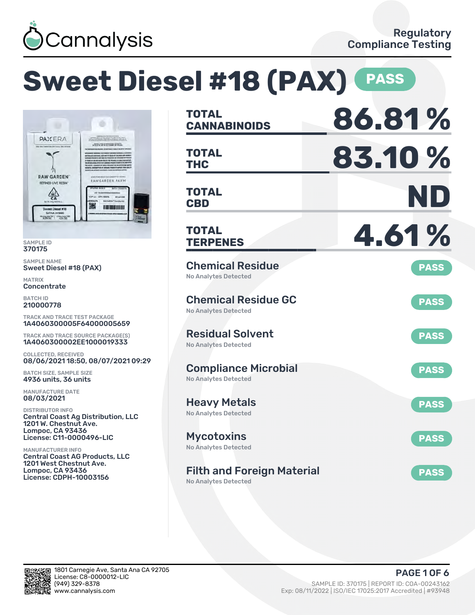

# **Sweet Diesel #18 (PAX) (PASS**



SAMPLE ID 370175

SAMPLE NAME Sweet Diesel #18 (PAX)

MATRIX **Concentrate** 

BATCH ID 210000778

TRACK AND TRACE TEST PACKAGE 1A4060300005F64000005659

TRACK AND TRACE SOURCE PACKAGE(S) 1A4060300002EE1000019333

COLLECTED, RECEIVED 08/06/2021 18:50, 08/07/2021 09:29

BATCH SIZE, SAMPLE SIZE 4936 units, 36 units

MANUFACTURE DATE 08/03/2021

DISTRIBUTOR INFO Central Coast Ag Distribution, LLC 1201 W. Chestnut Ave. Lompoc, CA 93436 License: C11-0000496-LIC

MANUFACTURER INFO Central Coast AG Products, LLC 1201 West Chestnut Ave. Lompoc, CA 93436 License: CDPH-10003156

| <b>TOTAL</b><br><b>CANNABINOIDS</b>                        | 86.81%      |
|------------------------------------------------------------|-------------|
| TOTAL<br><b>THC</b>                                        | 83.10%      |
| <b>TOTAL</b><br><b>CBD</b>                                 | ND          |
| TOTAL<br><b>TERPENES</b>                                   | 4.61%       |
| <b>Chemical Residue</b><br><b>No Analytes Detected</b>     | <b>PASS</b> |
| <b>Chemical Residue GC</b><br>No Analytes Detected         | <b>PASS</b> |
| <b>Residual Solvent</b><br><b>No Analytes Detected</b>     | <b>PASS</b> |
| <b>Compliance Microbial</b><br><b>No Analytes Detected</b> | <b>PASS</b> |
| <b>Heavy Metals</b><br><b>No Analytes Detected</b>         | <b>PASS</b> |
| <b>Mycotoxins</b><br>No Analytes Detected                  | <b>PASS</b> |
| <b>Filth and Foreign Material</b><br>No Analytes Detected  | <b>PASS</b> |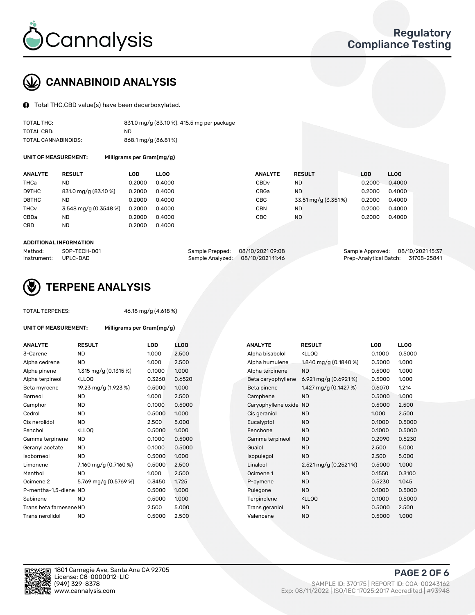

# CANNABINOID ANALYSIS

Total THC,CBD value(s) have been decarboxylated.

| TOTAL THC:          | 831.0 mg/g (83.10 %), 415.5 mg per package |
|---------------------|--------------------------------------------|
| TOTAL CBD:          | ND.                                        |
| TOTAL CANNABINOIDS: | 868.1 mg/g (86.81%)                        |

UNIT OF MEASUREMENT: Milligrams per Gram(mg/g)

| <b>ANALYTE</b>         | <b>RESULT</b>         | LOD    | <b>LLOO</b> | <b>ANALYTE</b>   | <b>RESULT</b>       | LOD    | <b>LLOO</b> |
|------------------------|-----------------------|--------|-------------|------------------|---------------------|--------|-------------|
| <b>THCa</b>            | ND                    | 0.2000 | 0.4000      | CBD <sub>v</sub> | ND                  | 0.2000 | 0.4000      |
| D9THC                  | 831.0 mg/g (83.10 %)  | 0.2000 | 0.4000      | CBGa             | ND                  | 0.2000 | 0.4000      |
| D8THC                  | ND                    | 0.2000 | 0.4000      | CBG              | 33.51 mg/g (3.351%) | 0.2000 | 0.4000      |
| <b>THC<sub>V</sub></b> | 3.548 mg/g (0.3548 %) | 0.2000 | 0.4000      | CBN              | ND                  | 0.2000 | 0.4000      |
| CBDa                   | ND                    | 0.2000 | 0.4000      | CBC              | <b>ND</b>           | 0.2000 | 0.4000      |
| CBD                    | ND                    | 0.2000 | 0.4000      |                  |                     |        |             |

#### ADDITIONAL INFORMATION

| Method:              | SOP-TECH-001 | Sample Prepped: 08/10/2021 09:08  | Sample Approved: 08/10/2021 15:37  |  |
|----------------------|--------------|-----------------------------------|------------------------------------|--|
| Instrument: UPLC-DAD |              | Sample Analyzed: 08/10/2021 11:46 | Prep-Analytical Batch: 31708-25841 |  |



## TERPENE ANALYSIS

| <b>TOTAL TERPENES:</b>      |                                                   | 46.18 mg/g (4.618 %)      |            |  |  |  |  |
|-----------------------------|---------------------------------------------------|---------------------------|------------|--|--|--|--|
| <b>UNIT OF MEASUREMENT:</b> |                                                   | Milligrams per Gram(mg/g) |            |  |  |  |  |
| <b>ANALYTE</b>              | <b>RESULT</b>                                     | LOD                       | <b>LLO</b> |  |  |  |  |
| 3-Carene                    | <b>ND</b>                                         | 1.000                     | 2.5C       |  |  |  |  |
| Alpha cedrene               | <b>ND</b>                                         | 1.000                     | 2.5C       |  |  |  |  |
| Alpha pinene                | 1.315 mg/g $(0.1315\%)$                           | 0.1000                    | 1.00       |  |  |  |  |
| Alpha terpineol             | <lloo< td=""><td>0.3260</td><td>0.65</td></lloo<> | 0.3260                    | 0.65       |  |  |  |  |
| Beta myrcene                | 19.23 mg/g (1.923 %)                              | 0.5000                    | 1.00       |  |  |  |  |
| Borneol                     | <b>ND</b>                                         | 1.000                     | 2.5C       |  |  |  |  |
| Camphor                     | <b>ND</b>                                         | 0.1000                    | 0.50       |  |  |  |  |
| Cedrol                      | <b>ND</b>                                         | 0.5000                    | 1.00       |  |  |  |  |
| Cis nerolidol               | <b>ND</b>                                         | 2.500                     | 5.00       |  |  |  |  |
| Fenchol                     | <lloo< td=""><td>0.5000</td><td>1.00</td></lloo<> | 0.5000                    | 1.00       |  |  |  |  |
| Gamma terpinene             | <b>ND</b>                                         | 0.1000                    | 0.50       |  |  |  |  |
| Geranyl acetate             | <b>ND</b>                                         | 0.1000                    | 0.50       |  |  |  |  |
| Isoborneol                  | <b>ND</b>                                         | 0.5000                    | 1.00       |  |  |  |  |
| Limonene                    | 7.160 mg/g (0.7160 %)                             | 0.5000                    | 2.5C       |  |  |  |  |
| Menthol                     | <b>ND</b>                                         | 1.000                     | 2.5C       |  |  |  |  |
| Ocimene <sub>2</sub>        | 5.769 mg/g (0.5769 %)                             | 0.3450                    | 1.72       |  |  |  |  |
| P-mentha-1,5-diene ND       |                                                   | 0.5000                    | 1.00       |  |  |  |  |
| Sabinene                    | <b>ND</b>                                         | 0.5000                    | 1.00       |  |  |  |  |
| Trans beta farnesene ND     |                                                   | 2.500                     | 5.00       |  |  |  |  |
| Trans nerolidol             | <b>ND</b>                                         | 0.5000                    | 2.5C       |  |  |  |  |
|                             |                                                   |                           |            |  |  |  |  |

| <b>ND</b><br>1.000<br>2.500<br>Alpha bisabolol<br><lloq<br><b>ND</b><br/>2.500<br/>1.840 mg/g (0.1840 %)<br/>1.000<br/>Alpha humulene<br/>1.315 mg/g <math>(0.1315%)</math><br/>0.1000<br/>1.000<br/>Alpha terpinene<br/><b>ND</b><br/>0.6520<br/><lloq<br>0.3260<br/>6.921 mg/g <math>(0.6921\%)</math><br/>Beta caryophyllene<br/>19.23 mg/g (1.923 %)<br/>0.5000<br/>1.000<br/>1.427 mg/g <math>(0.1427%)</math><br/>Beta pinene<br/><b>ND</b><br/>1.000<br/>2.500<br/><b>ND</b><br/>Camphene<br/><b>ND</b><br/>0.5000<br/>0.1000<br/>Caryophyllene oxide<br/>ND<br/><b>ND</b><br/>0.5000<br/>1.000<br/>Cis geraniol<br/><b>ND</b><br/>1.000<br/><b>ND</b><br/>5.000<br/>2.500<br/>Eucalyptol<br/><b>ND</b><br/><lloq<br>0.5000<br/>1.000<br/>Fenchone<br/><b>ND</b><br/><b>ND</b><br/>0.5000<br/><b>ND</b><br/>0.1000<br/>Gamma terpineol<br/><b>ND</b><br/>0.5000<br/>0.1000<br/>Guaiol<br/><b>ND</b><br/>2.500<br/><b>ND</b><br/>0.5000<br/>1.000<br/><b>ND</b><br/>Isopulegol<br/>2.500<br/>7.160 mg/g (0.7160 %)<br/>2.521 mg/g (0.2521 %)<br/>0.5000<br/>2.500<br/>Linalool<br/><b>ND</b><br/>1.000<br/>2.500<br/>Ocimene 1<br/><b>ND</b><br/>5.769 mg/g (0.5769 %)<br/>0.3450<br/>1.725<br/><b>ND</b><br/>P-cymene<br/>0.5000<br/>1.000<br/><b>ND</b><br/>P-mentha-1,5-diene ND<br/>Pulegone<br/><b>ND</b><br/>0.5000<br/>1.000<br/>Terpinolene<br/><lloq<br>2.500<br/>5.000<br/>Trans beta farnesene ND<br/>Trans geraniol<br/><b>ND</b><br/><b>ND</b><br/>0.5000<br/>2.500<br/><b>ND</b><br/>Valencene</lloq<br></lloq<br></lloq<br></lloq<br> | <b>ANALYTE</b>  | <b>RESULT</b> | <b>LOD</b> | <b>LLOQ</b> | <b>ANALYTE</b> | <b>RESULT</b> | <b>LOD</b> |
|------------------------------------------------------------------------------------------------------------------------------------------------------------------------------------------------------------------------------------------------------------------------------------------------------------------------------------------------------------------------------------------------------------------------------------------------------------------------------------------------------------------------------------------------------------------------------------------------------------------------------------------------------------------------------------------------------------------------------------------------------------------------------------------------------------------------------------------------------------------------------------------------------------------------------------------------------------------------------------------------------------------------------------------------------------------------------------------------------------------------------------------------------------------------------------------------------------------------------------------------------------------------------------------------------------------------------------------------------------------------------------------------------------------------------------------------------------------------------------------------------------------------------------------------------------|-----------------|---------------|------------|-------------|----------------|---------------|------------|
|                                                                                                                                                                                                                                                                                                                                                                                                                                                                                                                                                                                                                                                                                                                                                                                                                                                                                                                                                                                                                                                                                                                                                                                                                                                                                                                                                                                                                                                                                                                                                            | 3-Carene        |               |            |             |                |               | 0.1000     |
|                                                                                                                                                                                                                                                                                                                                                                                                                                                                                                                                                                                                                                                                                                                                                                                                                                                                                                                                                                                                                                                                                                                                                                                                                                                                                                                                                                                                                                                                                                                                                            | Alpha cedrene   |               |            |             |                |               | 0.5000     |
|                                                                                                                                                                                                                                                                                                                                                                                                                                                                                                                                                                                                                                                                                                                                                                                                                                                                                                                                                                                                                                                                                                                                                                                                                                                                                                                                                                                                                                                                                                                                                            | Alpha pinene    |               |            |             |                |               | 0.5000     |
| 0.6070                                                                                                                                                                                                                                                                                                                                                                                                                                                                                                                                                                                                                                                                                                                                                                                                                                                                                                                                                                                                                                                                                                                                                                                                                                                                                                                                                                                                                                                                                                                                                     | Alpha terpineol |               |            |             |                |               | 0.5000     |
|                                                                                                                                                                                                                                                                                                                                                                                                                                                                                                                                                                                                                                                                                                                                                                                                                                                                                                                                                                                                                                                                                                                                                                                                                                                                                                                                                                                                                                                                                                                                                            | Beta myrcene    |               |            |             |                |               |            |
|                                                                                                                                                                                                                                                                                                                                                                                                                                                                                                                                                                                                                                                                                                                                                                                                                                                                                                                                                                                                                                                                                                                                                                                                                                                                                                                                                                                                                                                                                                                                                            | Borneol         |               |            |             |                |               | 0.5000     |
|                                                                                                                                                                                                                                                                                                                                                                                                                                                                                                                                                                                                                                                                                                                                                                                                                                                                                                                                                                                                                                                                                                                                                                                                                                                                                                                                                                                                                                                                                                                                                            | Camphor         |               |            |             |                |               | 0.5000     |
|                                                                                                                                                                                                                                                                                                                                                                                                                                                                                                                                                                                                                                                                                                                                                                                                                                                                                                                                                                                                                                                                                                                                                                                                                                                                                                                                                                                                                                                                                                                                                            | Cedrol          |               |            |             |                |               |            |
| 0.1000<br>0.1550<br>0.1000<br>0.1000                                                                                                                                                                                                                                                                                                                                                                                                                                                                                                                                                                                                                                                                                                                                                                                                                                                                                                                                                                                                                                                                                                                                                                                                                                                                                                                                                                                                                                                                                                                       | Cis nerolidol   |               |            |             |                |               | 0.1000     |
| 0.2090                                                                                                                                                                                                                                                                                                                                                                                                                                                                                                                                                                                                                                                                                                                                                                                                                                                                                                                                                                                                                                                                                                                                                                                                                                                                                                                                                                                                                                                                                                                                                     | Fenchol         |               |            |             |                |               |            |
|                                                                                                                                                                                                                                                                                                                                                                                                                                                                                                                                                                                                                                                                                                                                                                                                                                                                                                                                                                                                                                                                                                                                                                                                                                                                                                                                                                                                                                                                                                                                                            | Gamma terpinene |               |            |             |                |               |            |
|                                                                                                                                                                                                                                                                                                                                                                                                                                                                                                                                                                                                                                                                                                                                                                                                                                                                                                                                                                                                                                                                                                                                                                                                                                                                                                                                                                                                                                                                                                                                                            | Geranyl acetate |               |            |             |                |               |            |
| 0.5000                                                                                                                                                                                                                                                                                                                                                                                                                                                                                                                                                                                                                                                                                                                                                                                                                                                                                                                                                                                                                                                                                                                                                                                                                                                                                                                                                                                                                                                                                                                                                     | Isoborneol      |               |            |             |                |               |            |
|                                                                                                                                                                                                                                                                                                                                                                                                                                                                                                                                                                                                                                                                                                                                                                                                                                                                                                                                                                                                                                                                                                                                                                                                                                                                                                                                                                                                                                                                                                                                                            | Limonene        |               |            |             |                |               |            |
| 0.5230<br>0.5000<br>0.5000                                                                                                                                                                                                                                                                                                                                                                                                                                                                                                                                                                                                                                                                                                                                                                                                                                                                                                                                                                                                                                                                                                                                                                                                                                                                                                                                                                                                                                                                                                                                 | Menthol         |               |            |             |                |               |            |
|                                                                                                                                                                                                                                                                                                                                                                                                                                                                                                                                                                                                                                                                                                                                                                                                                                                                                                                                                                                                                                                                                                                                                                                                                                                                                                                                                                                                                                                                                                                                                            | Ocimene 2       |               |            |             |                |               |            |
|                                                                                                                                                                                                                                                                                                                                                                                                                                                                                                                                                                                                                                                                                                                                                                                                                                                                                                                                                                                                                                                                                                                                                                                                                                                                                                                                                                                                                                                                                                                                                            |                 |               |            |             |                |               |            |
|                                                                                                                                                                                                                                                                                                                                                                                                                                                                                                                                                                                                                                                                                                                                                                                                                                                                                                                                                                                                                                                                                                                                                                                                                                                                                                                                                                                                                                                                                                                                                            | Sabinene        |               |            |             |                |               |            |
|                                                                                                                                                                                                                                                                                                                                                                                                                                                                                                                                                                                                                                                                                                                                                                                                                                                                                                                                                                                                                                                                                                                                                                                                                                                                                                                                                                                                                                                                                                                                                            |                 |               |            |             |                |               |            |
|                                                                                                                                                                                                                                                                                                                                                                                                                                                                                                                                                                                                                                                                                                                                                                                                                                                                                                                                                                                                                                                                                                                                                                                                                                                                                                                                                                                                                                                                                                                                                            | Trans nerolidol |               |            |             |                |               |            |



PAGE 2 OF 6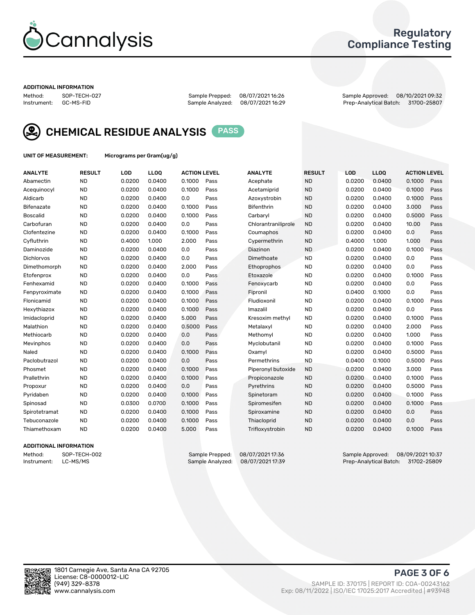

### Regulatory Compliance Testing

#### ADDITIONAL INFORMATION

Method: SOP-TECH-027 Sample Prepped: 08/07/2021 16:26 Sample Approved: 08/10/2021 09:32 Prep-Analytical Batch: 31700-25807



CHEMICAL RESIDUE ANALYSIS PASS

UNIT OF MEASUREMENT: Micrograms per Gram(ug/g)

| <b>ANALYTE</b>    | <b>RESULT</b> | LOD    | LL <sub>OO</sub> | <b>ACTION LEVEL</b> |      | <b>ANALYTE</b>      | <b>RESULT</b> | <b>LOD</b> | <b>LLOQ</b> | <b>ACTION LEVEL</b> |      |
|-------------------|---------------|--------|------------------|---------------------|------|---------------------|---------------|------------|-------------|---------------------|------|
| Abamectin         | <b>ND</b>     | 0.0200 | 0.0400           | 0.1000              | Pass | Acephate            | <b>ND</b>     | 0.0200     | 0.0400      | 0.1000              | Pass |
| Acequinocyl       | <b>ND</b>     | 0.0200 | 0.0400           | 0.1000              | Pass | Acetamiprid         | <b>ND</b>     | 0.0200     | 0.0400      | 0.1000              | Pass |
| Aldicarb          | <b>ND</b>     | 0.0200 | 0.0400           | 0.0                 | Pass | Azoxystrobin        | <b>ND</b>     | 0.0200     | 0.0400      | 0.1000              | Pass |
| Bifenazate        | <b>ND</b>     | 0.0200 | 0.0400           | 0.1000              | Pass | <b>Bifenthrin</b>   | <b>ND</b>     | 0.0200     | 0.0400      | 3.000               | Pass |
| <b>Boscalid</b>   | <b>ND</b>     | 0.0200 | 0.0400           | 0.1000              | Pass | Carbaryl            | <b>ND</b>     | 0.0200     | 0.0400      | 0.5000              | Pass |
| Carbofuran        | <b>ND</b>     | 0.0200 | 0.0400           | 0.0                 | Pass | Chlorantraniliprole | <b>ND</b>     | 0.0200     | 0.0400      | 10.00               | Pass |
| Clofentezine      | <b>ND</b>     | 0.0200 | 0.0400           | 0.1000              | Pass | Coumaphos           | <b>ND</b>     | 0.0200     | 0.0400      | 0.0                 | Pass |
| Cyfluthrin        | <b>ND</b>     | 0.4000 | 1.000            | 2.000               | Pass | Cypermethrin        | <b>ND</b>     | 0.4000     | 1.000       | 1.000               | Pass |
| Daminozide        | <b>ND</b>     | 0.0200 | 0.0400           | 0.0                 | Pass | Diazinon            | <b>ND</b>     | 0.0200     | 0.0400      | 0.1000              | Pass |
| <b>Dichlorvos</b> | <b>ND</b>     | 0.0200 | 0.0400           | 0.0                 | Pass | Dimethoate          | <b>ND</b>     | 0.0200     | 0.0400      | 0.0                 | Pass |
| Dimethomorph      | <b>ND</b>     | 0.0200 | 0.0400           | 2.000               | Pass | Ethoprophos         | <b>ND</b>     | 0.0200     | 0.0400      | 0.0                 | Pass |
| Etofenprox        | <b>ND</b>     | 0.0200 | 0.0400           | 0.0                 | Pass | Etoxazole           | <b>ND</b>     | 0.0200     | 0.0400      | 0.1000              | Pass |
| Fenhexamid        | <b>ND</b>     | 0.0200 | 0.0400           | 0.1000              | Pass | Fenoxycarb          | <b>ND</b>     | 0.0200     | 0.0400      | 0.0                 | Pass |
| Fenpyroximate     | <b>ND</b>     | 0.0200 | 0.0400           | 0.1000              | Pass | Fipronil            | <b>ND</b>     | 0.0400     | 0.1000      | 0.0                 | Pass |
| Flonicamid        | <b>ND</b>     | 0.0200 | 0.0400           | 0.1000              | Pass | Fludioxonil         | <b>ND</b>     | 0.0200     | 0.0400      | 0.1000              | Pass |
| Hexythiazox       | <b>ND</b>     | 0.0200 | 0.0400           | 0.1000              | Pass | Imazalil            | <b>ND</b>     | 0.0200     | 0.0400      | 0.0                 | Pass |
| Imidacloprid      | <b>ND</b>     | 0.0200 | 0.0400           | 5.000               | Pass | Kresoxim methyl     | <b>ND</b>     | 0.0200     | 0.0400      | 0.1000              | Pass |
| Malathion         | <b>ND</b>     | 0.0200 | 0.0400           | 0.5000              | Pass | Metalaxyl           | <b>ND</b>     | 0.0200     | 0.0400      | 2.000               | Pass |
| Methiocarb        | <b>ND</b>     | 0.0200 | 0.0400           | 0.0                 | Pass | Methomyl            | <b>ND</b>     | 0.0200     | 0.0400      | 1.000               | Pass |
| Mevinphos         | <b>ND</b>     | 0.0200 | 0.0400           | 0.0                 | Pass | Myclobutanil        | <b>ND</b>     | 0.0200     | 0.0400      | 0.1000              | Pass |
| Naled             | <b>ND</b>     | 0.0200 | 0.0400           | 0.1000              | Pass | Oxamyl              | <b>ND</b>     | 0.0200     | 0.0400      | 0.5000              | Pass |
| Paclobutrazol     | <b>ND</b>     | 0.0200 | 0.0400           | 0.0                 | Pass | Permethrins         | <b>ND</b>     | 0.0400     | 0.1000      | 0.5000              | Pass |
| Phosmet           | <b>ND</b>     | 0.0200 | 0.0400           | 0.1000              | Pass | Piperonyl butoxide  | <b>ND</b>     | 0.0200     | 0.0400      | 3.000               | Pass |
| Prallethrin       | <b>ND</b>     | 0.0200 | 0.0400           | 0.1000              | Pass | Propiconazole       | <b>ND</b>     | 0.0200     | 0.0400      | 0.1000              | Pass |
| Propoxur          | <b>ND</b>     | 0.0200 | 0.0400           | 0.0                 | Pass | Pyrethrins          | <b>ND</b>     | 0.0200     | 0.0400      | 0.5000              | Pass |
| Pyridaben         | <b>ND</b>     | 0.0200 | 0.0400           | 0.1000              | Pass | Spinetoram          | <b>ND</b>     | 0.0200     | 0.0400      | 0.1000              | Pass |
| Spinosad          | <b>ND</b>     | 0.0300 | 0.0700           | 0.1000              | Pass | Spiromesifen        | <b>ND</b>     | 0.0200     | 0.0400      | 0.1000              | Pass |
| Spirotetramat     | <b>ND</b>     | 0.0200 | 0.0400           | 0.1000              | Pass | Spiroxamine         | <b>ND</b>     | 0.0200     | 0.0400      | 0.0                 | Pass |
| Tebuconazole      | <b>ND</b>     | 0.0200 | 0.0400           | 0.1000              | Pass | Thiacloprid         | <b>ND</b>     | 0.0200     | 0.0400      | 0.0                 | Pass |
| Thiamethoxam      | <b>ND</b>     | 0.0200 | 0.0400           | 5.000               | Pass | Trifloxystrobin     | <b>ND</b>     | 0.0200     | 0.0400      | 0.1000              | Pass |

### ADDITIONAL INFORMATION

Method: SOP-TECH-002 Sample Prepped: 08/07/2021 17:36 Sample Approved: 08/09/2021 10:37<br>Instrument: LC-MS/MS Sample Analyzed: 08/07/2021 17:39 Prep-Analytical Batch: 31702-25809 Prep-Analytical Batch: 31702-25809

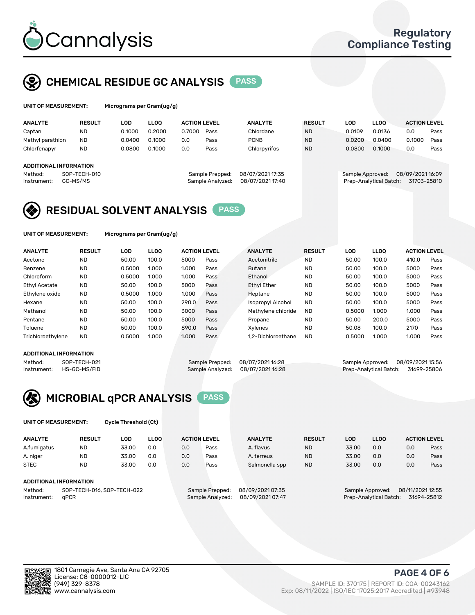

# CHEMICAL RESIDUE GC ANALYSIS PASS

| UNIT OF MEASUREMENT: | Microgran |
|----------------------|-----------|
|                      |           |

ms per Gram(ug/g)

| <b>ANALYTE</b>         | <b>RESULT</b> | LOD    | <b>LLOO</b> | <b>ACTION LEVEL</b> |                  | <b>ANALYTE</b>   | <b>RESULT</b> | <b>LOD</b> |                  | <b>LLOO</b>            | <b>ACTION LEVEL</b> |      |
|------------------------|---------------|--------|-------------|---------------------|------------------|------------------|---------------|------------|------------------|------------------------|---------------------|------|
| Captan                 | <b>ND</b>     | 0.1000 | 0.2000      | 0.7000              | Pass             | Chlordane        | <b>ND</b>     |            | 0.0109           | 0.0136                 | 0.0                 | Pass |
| Methyl parathion       | <b>ND</b>     | 0.0400 | 0.1000      | 0.0                 | Pass             | <b>PCNB</b>      | <b>ND</b>     |            | 0.0200           | 0.0400                 | 0.1000              | Pass |
| Chlorfenapyr           | <b>ND</b>     | 0.0800 | 0.1000      | 0.0                 | Pass             | Chlorpyrifos     | <b>ND</b>     |            | 0.0800           | 0.1000                 | 0.0                 | Pass |
|                        |               |        |             |                     |                  |                  |               |            |                  |                        |                     |      |
| ADDITIONAL INFORMATION |               |        |             |                     |                  |                  |               |            |                  |                        |                     |      |
| Method:                | SOP-TECH-010  |        |             |                     | Sample Prepped:  | 08/07/2021 17:35 |               |            | Sample Approved: |                        | 08/09/202116:09     |      |
| Instrument:            | GC-MS/MS      |        |             |                     | Sample Analyzed: | 08/07/2021 17:40 |               |            |                  | Prep-Analytical Batch: | 31703-25810         |      |
|                        |               |        |             |                     |                  |                  |               |            |                  |                        |                     |      |

## RESIDUAL SOLVENT ANALYSIS PASS

UNIT OF MEASUREMENT: Micrograms per Gram(ug/g)

| <b>ANALYTE</b>       | <b>RESULT</b> | LOD    | <b>LLOO</b> | <b>ACTION LEVEL</b> |      | <b>ANALYTE</b>           | <b>RESULT</b> | LOD    | <b>LLOO</b> | <b>ACTION LEVEL</b> |      |
|----------------------|---------------|--------|-------------|---------------------|------|--------------------------|---------------|--------|-------------|---------------------|------|
| Acetone              | <b>ND</b>     | 50.00  | 100.0       | 5000                | Pass | Acetonitrile             | <b>ND</b>     | 50.00  | 100.0       | 410.0               | Pass |
| Benzene              | <b>ND</b>     | 0.5000 | 1.000       | 1.000               | Pass | <b>Butane</b>            | <b>ND</b>     | 50.00  | 100.0       | 5000                | Pass |
| Chloroform           | <b>ND</b>     | 0.5000 | 1.000       | 1.000               | Pass | Ethanol                  | <b>ND</b>     | 50.00  | 100.0       | 5000                | Pass |
| <b>Ethyl Acetate</b> | <b>ND</b>     | 50.00  | 100.0       | 5000                | Pass | <b>Ethyl Ether</b>       | <b>ND</b>     | 50.00  | 100.0       | 5000                | Pass |
| Ethylene oxide       | <b>ND</b>     | 0.5000 | 1.000       | 1.000               | Pass | Heptane                  | <b>ND</b>     | 50.00  | 100.0       | 5000                | Pass |
| Hexane               | <b>ND</b>     | 50.00  | 100.0       | 290.0               | Pass | <b>Isopropyl Alcohol</b> | <b>ND</b>     | 50.00  | 100.0       | 5000                | Pass |
| Methanol             | <b>ND</b>     | 50.00  | 100.0       | 3000                | Pass | Methylene chloride       | <b>ND</b>     | 0.5000 | 1.000       | 1.000               | Pass |
| Pentane              | <b>ND</b>     | 50.00  | 100.0       | 5000                | Pass | Propane                  | <b>ND</b>     | 50.00  | 200.0       | 5000                | Pass |
| Toluene              | <b>ND</b>     | 50.00  | 100.0       | 890.0               | Pass | Xvlenes                  | <b>ND</b>     | 50.08  | 100.0       | 2170                | Pass |
| Trichloroethylene    | <b>ND</b>     | 0.5000 | 1.000       | 1.000               | Pass | 1.2-Dichloroethane       | <b>ND</b>     | 0.5000 | 1.000       | 1.000               | Pass |

### ADDITIONAL INFORMATION

Method: SOP-TECH-021 Sample Prepped: 08/07/2021 16:28 Sample Approved: 08/09/2021 15:56<br>Instrument: HS-GC-MS/FID Sample Analyzed: 08/07/2021 16:28 Prep-Analytical Batch: 31699-25806 Prep-Analytical Batch: 31699-25806



UNIT OF MEASUREMENT: Cycle Threshold (Ct)

| <b>ANALYTE</b> | <b>RESULT</b>              | LOD   | <b>LLOO</b> |     | <b>ACTION LEVEL</b> | <b>ANALYTE</b>   | <b>RESULT</b> | <b>LOD</b> | <b>LLOO</b>      |                  | <b>ACTION LEVEL</b> |
|----------------|----------------------------|-------|-------------|-----|---------------------|------------------|---------------|------------|------------------|------------------|---------------------|
| A.fumigatus    | <b>ND</b>                  | 33.00 | 0.0         | 0.0 | Pass                | A. flavus        | <b>ND</b>     | 33.00      | 0.0              | 0.0              | Pass                |
| A. niger       | <b>ND</b>                  | 33.00 | 0.0         | 0.0 | Pass                | A. terreus       | <b>ND</b>     | 33.00      | 0.0              | 0.0              | Pass                |
| <b>STEC</b>    | <b>ND</b>                  | 33.00 | 0.0         | 0.0 | Pass                | Salmonella spp   | <b>ND</b>     | 33.00      | 0.0              | 0.0              | Pass                |
|                | ADDITIONAL INFORMATION     |       |             |     |                     |                  |               |            |                  |                  |                     |
| Method:        | SOP-TECH-016, SOP-TECH-022 |       |             |     | Sample Prepped:     | 08/09/2021 07:35 |               |            | Sample Approved: | 08/11/2021 12:55 |                     |

Instrument: qPCR Sample Analyzed: 08/09/2021 07:47 Prep-Analytical Batch: 31694-25812

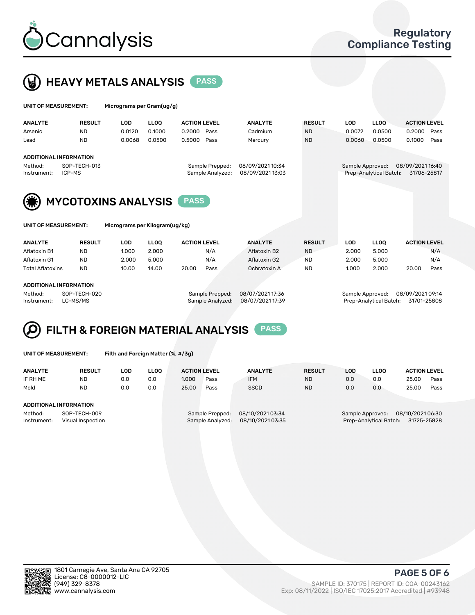



| UNIT OF MEASUREMENT: |                                         |             |        |                           |                                                                            |                  |            |             |                     |                                                           |
|----------------------|-----------------------------------------|-------------|--------|---------------------------|----------------------------------------------------------------------------|------------------|------------|-------------|---------------------|-----------------------------------------------------------|
| <b>RESULT</b>        | <b>LOD</b>                              | <b>LLOO</b> |        |                           | <b>ANALYTE</b>                                                             | <b>RESULT</b>    | <b>LOD</b> | <b>LLOO</b> | <b>ACTION LEVEL</b> |                                                           |
| <b>ND</b>            | 0.0120                                  | 0.1000      | 0.2000 |                           | Cadmium                                                                    | <b>ND</b>        | 0.0072     | 0.0500      | 0.2000              | Pass                                                      |
| <b>ND</b>            | 0.0068                                  | 0.0500      | 0.5000 |                           | Mercury                                                                    | <b>ND</b>        | 0.0060     | 0.0500      | 0.1000              | Pass                                                      |
|                      |                                         |             |        |                           |                                                                            |                  |            |             |                     |                                                           |
| SOP-TECH-013         |                                         |             |        |                           | 08/09/202110:34                                                            |                  |            |             |                     |                                                           |
|                      |                                         |             |        |                           |                                                                            |                  |            |             |                     |                                                           |
|                      |                                         |             |        |                           |                                                                            |                  |            |             |                     |                                                           |
|                      | <b>ADDITIONAL INFORMATION</b><br>ICP-MS |             |        | Micrograms per Gram(ug/g) | <b>ACTION LEVEL</b><br>Pass<br>Pass<br>Sample Prepped:<br>Sample Analyzed: | 08/09/2021 13:03 |            |             | Sample Approved:    | 08/09/2021 16:40<br>Prep-Analytical Batch:<br>31706-25817 |



**MYCOTOXINS ANALYSIS** PASS

| UNIT OF MEASUREMENT |
|---------------------|
|                     |

T: Micrograms per Kilogram(ug/kg)

| <b>ANALYTE</b>          | <b>RESULT</b> | <b>LOD</b> | <b>LLOO</b> | <b>ACTION LEVEL</b> |      | <b>ANALYTE</b> | <b>RESULT</b> | LOD   | <b>LLOO</b> | <b>ACTION LEVEL</b> |      |
|-------------------------|---------------|------------|-------------|---------------------|------|----------------|---------------|-------|-------------|---------------------|------|
| Aflatoxin B1            | <b>ND</b>     | 1.000      | 2.000       |                     | N/A  | Aflatoxin B2   | <b>ND</b>     | 2.000 | 5.000       |                     | N/A  |
| Aflatoxin G1            | <b>ND</b>     | 2.000      | 5.000       |                     | N/A  | Aflatoxin G2   | <b>ND</b>     | 2.000 | 5.000       |                     | N/A  |
| <b>Total Aflatoxins</b> | <b>ND</b>     | 10.00      | 14.00       | 20.00               | Pass | Ochratoxin A   | <b>ND</b>     | 1.000 | 2.000       | 20.00               | Pass |
|                         |               |            |             |                     |      |                |               |       |             |                     |      |

#### ADDITIONAL INFORMATION

Method: SOP-TECH-020 Sample Prepped: 08/07/2021 17:36 Sample Approved: 08/09/2021 09:14 Instrument: LC-MS/MS Sample Analyzed: 08/07/2021 17:39 Prep-Analytical Batch: 31701-25808

# FILTH & FOREIGN MATERIAL ANALYSIS PASS

UNIT OF MEASUREMENT: Filth and Foreign Matter (%, #/3g)

| <b>ANALYTE</b>         | <b>RESULT</b>                     | LOD | <b>LLOO</b> | <b>ACTION LEVEL</b> |                                     | <b>ANALYTE</b>                       | <b>RESULT</b> | LOD | <b>LLOO</b>                                | <b>ACTION LEVEL</b>             |      |
|------------------------|-----------------------------------|-----|-------------|---------------------|-------------------------------------|--------------------------------------|---------------|-----|--------------------------------------------|---------------------------------|------|
| IF RH ME               | <b>ND</b>                         | 0.0 | 0.0         | 1.000               | Pass                                | <b>IFM</b>                           | <b>ND</b>     | 0.0 | 0.0                                        | 25.00                           | Pass |
| Mold                   | <b>ND</b>                         | 0.0 | 0.0         | 25.00               | Pass                                | <b>SSCD</b>                          | <b>ND</b>     | 0.0 | 0.0                                        | 25.00                           | Pass |
| ADDITIONAL INFORMATION |                                   |     |             |                     |                                     |                                      |               |     |                                            |                                 |      |
| Method:<br>Instrument: | SOP-TECH-009<br>Visual Inspection |     |             |                     | Sample Prepped:<br>Sample Analyzed: | 08/10/2021 03:34<br>08/10/2021 03:35 |               |     | Sample Approved:<br>Prep-Analytical Batch: | 08/10/2021 06:30<br>31725-25828 |      |